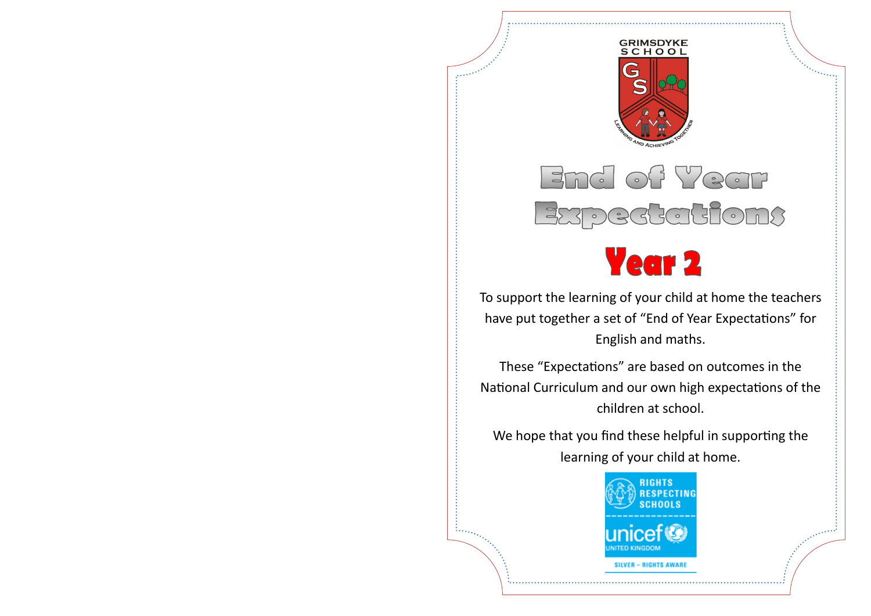

# End of Year Expectations



To support the learning of your child at home the teachers have put together a set of "End of Year Expectations" for English and maths.

These "Expectations" are based on outcomes in the National Curriculum and our own high expectations of the children at school.

We hope that you find these helpful in supporting the learning of your child at home.

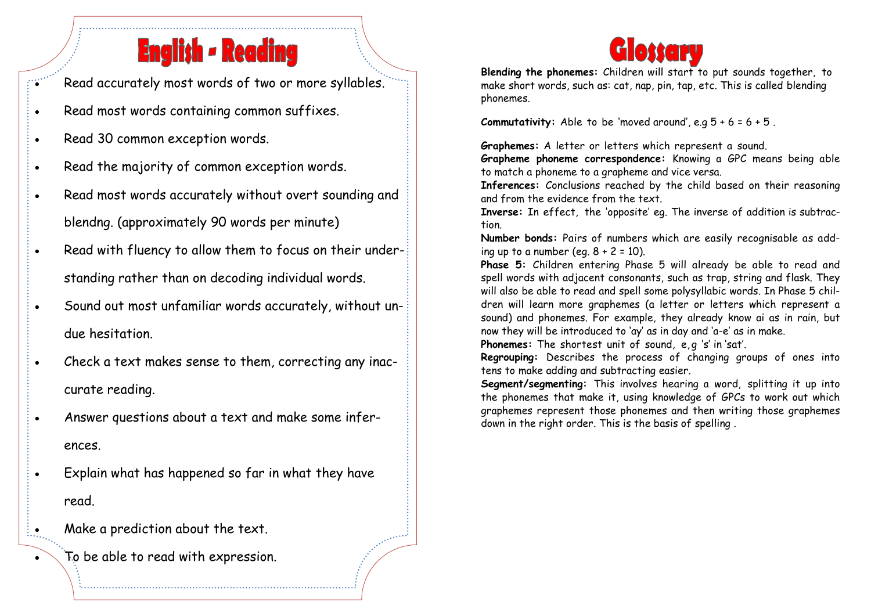### **English - Reading**

Read accurately most words of two or more syllables.

- Read most words containing common suffixes.
- Read 30 common exception words.
- . Read the majority of common exception words.
- Read most words accurately without overt sounding and blendng. (approximately 90 words per minute)
- Read with fluency to allow them to focus on their understanding rather than on decoding individual words.
- Sound out most unfamiliar words accurately, without undue hesitation.
- Check a text makes sense to them, correcting any inaccurate reading.
- Answer questions about a text and make some inferences.
- Explain what has happened so far in what they have read.
- $\frac{1}{2}$  Make a prediction about the text.
	- To be able to read with expression.

#### Glossary

**Blending the phonemes:** Children will start to put sounds together, to make short words, such as: cat, nap, pin, tap, etc. This is called blending phonemes.

**Commutativity:** Able to be 'moved around', e.g  $5 + 6 = 6 + 5$ .

**Graphemes:** A letter or letters which represent a sound.

**Grapheme phoneme correspondence:** Knowing a GPC means being able to match a phoneme to a grapheme and vice versa.

**Inferences:** Conclusions reached by the child based on their reasoning and from the evidence from the text.

**Inverse:** In effect, the 'opposite' eg. The inverse of addition is subtraction.

**Number bonds:** Pairs of numbers which are easily recognisable as adding up to a number (eq.  $8 + 2 = 10$ ).

**Phase 5:** Children entering Phase 5 will already be able to read and spell words with adjacent consonants, such as trap, string and flask. They will also be able to read and spell some polysyllabic words. In Phase 5 children will learn more graphemes (a letter or letters which represent a sound) and phonemes. For example, they already know ai as in rain, but now they will be introduced to 'ay' as in day and 'a-e' as in make.

Phonemes: The shortest unit of sound, e, q 's' in 'sat'.

**Regrouping:** Describes the process of changing groups of ones into tens to make adding and subtracting easier.

**Segment/segmenting:** This involves hearing a word, splitting it up into the phonemes that make it, using knowledge of GPCs to work out which graphemes represent those phonemes and then writing those graphemes down in the right order. This is the basis of spelling .